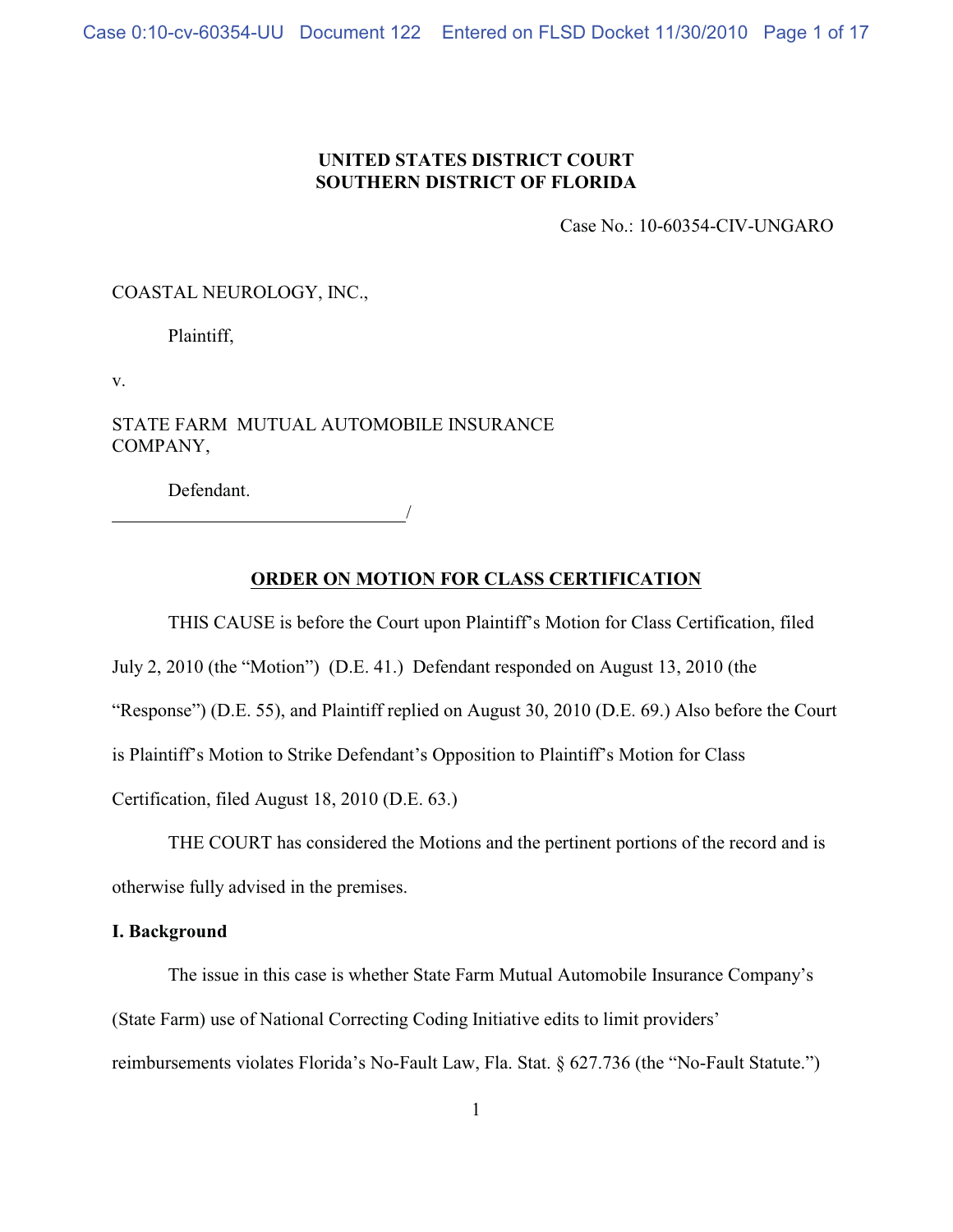# **UNITED STATES DISTRICT COURT SOUTHERN DISTRICT OF FLORIDA**

Case No.: 10-60354-CIV-UNGARO

COASTAL NEUROLOGY, INC.,

Plaintiff,

v.

STATE FARM MUTUAL AUTOMOBILE INSURANCE COMPANY,

Defendant.

<u>/</u>

# **ORDER ON MOTION FOR CLASS CERTIFICATION**

THIS CAUSE is before the Court upon Plaintiff's Motion for Class Certification, filed

July 2, 2010 (the "Motion") (D.E. 41.) Defendant responded on August 13, 2010 (the

"Response") (D.E. 55), and Plaintiff replied on August 30, 2010 (D.E. 69.) Also before the Court

is Plaintiff's Motion to Strike Defendant's Opposition to Plaintiff's Motion for Class

Certification, filed August 18, 2010 (D.E. 63.)

THE COURT has considered the Motions and the pertinent portions of the record and is otherwise fully advised in the premises.

## **I. Background**

The issue in this case is whether State Farm Mutual Automobile Insurance Company's (State Farm) use of National Correcting Coding Initiative edits to limit providers' reimbursements violates Florida's No-Fault Law, Fla. Stat. § 627.736 (the "No-Fault Statute.")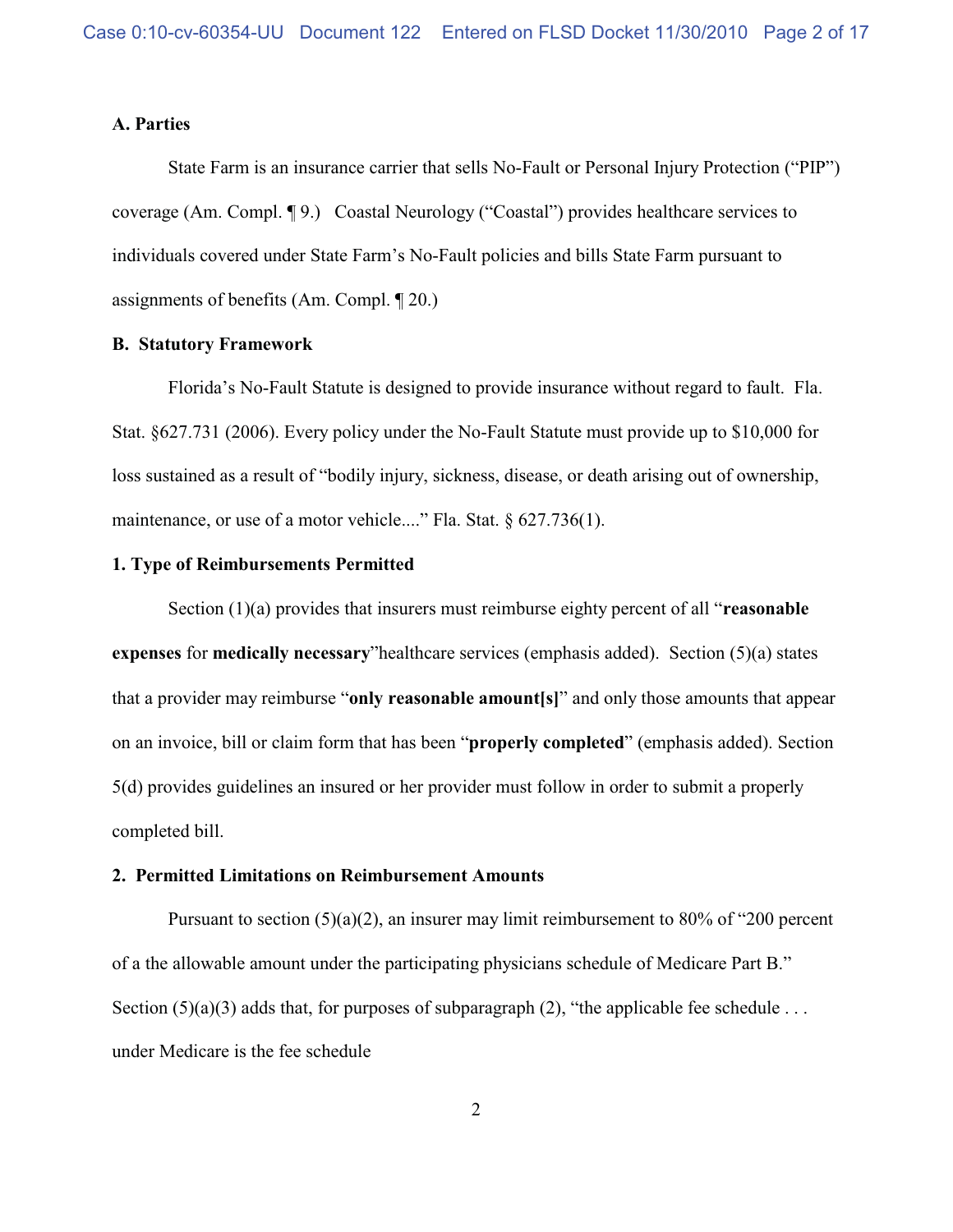### **A. Parties**

State Farm is an insurance carrier that sells No-Fault or Personal Injury Protection ("PIP") coverage (Am. Compl. ¶ 9.) Coastal Neurology ("Coastal") provides healthcare services to individuals covered under State Farm's No-Fault policies and bills State Farm pursuant to assignments of benefits (Am. Compl. ¶ 20.)

### **B. Statutory Framework**

Florida's No-Fault Statute is designed to provide insurance without regard to fault. Fla. Stat. §627.731 (2006). Every policy under the No-Fault Statute must provide up to \$10,000 for loss sustained as a result of "bodily injury, sickness, disease, or death arising out of ownership, maintenance, or use of a motor vehicle...." Fla. Stat. § 627.736(1).

# **1. Type of Reimbursements Permitted**

Section (1)(a) provides that insurers must reimburse eighty percent of all "**reasonable expenses** for **medically necessary**"healthcare services (emphasis added). Section (5)(a) states that a provider may reimburse "**only reasonable amount[s]**" and only those amounts that appear on an invoice, bill or claim form that has been "**properly completed**" (emphasis added). Section 5(d) provides guidelines an insured or her provider must follow in order to submit a properly completed bill.

### **2. Permitted Limitations on Reimbursement Amounts**

Pursuant to section (5)(a)(2), an insurer may limit reimbursement to 80% of "200 percent" of a the allowable amount under the participating physicians schedule of Medicare Part B." Section (5)(a)(3) adds that, for purposes of subparagraph (2), "the applicable fee schedule . . . under Medicare is the fee schedule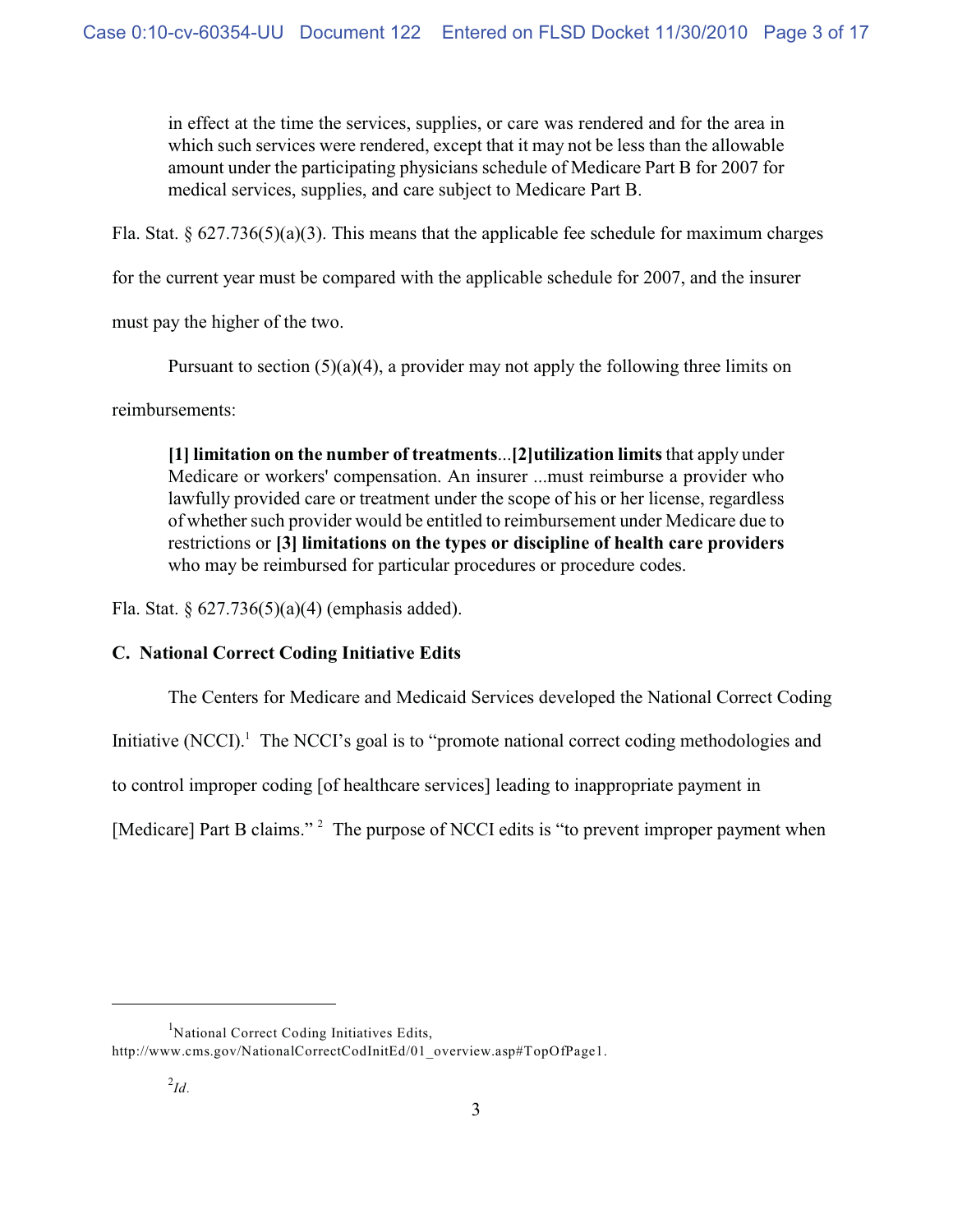in effect at the time the services, supplies, or care was rendered and for the area in which such services were rendered, except that it may not be less than the allowable amount under the participating physicians schedule of Medicare Part B for 2007 for medical services, supplies, and care subject to Medicare Part B.

Fla. Stat. § 627.736(5)(a)(3). This means that the applicable fee schedule for maximum charges

for the current year must be compared with the applicable schedule for 2007, and the insurer

must pay the higher of the two.

Pursuant to section  $(5)(a)(4)$ , a provider may not apply the following three limits on

reimbursements:

**[1] limitation on the number of treatments**...**[2]utilization limits** that apply under Medicare or workers' compensation. An insurer ...must reimburse a provider who lawfully provided care or treatment under the scope of his or her license, regardless of whether such provider would be entitled to reimbursement under Medicare due to restrictions or **[3] limitations on the types or discipline of health care providers** who may be reimbursed for particular procedures or procedure codes.

Fla. Stat. § 627.736(5)(a)(4) (emphasis added).

# **C. National Correct Coding Initiative Edits**

The Centers for Medicare and Medicaid Services developed the National Correct Coding

Initiative  $(NCCI)$ <sup>1</sup>. The NCCI's goal is to "promote national correct coding methodologies and

to control improper coding [of healthcare services] leading to inappropriate payment in

[Medicare] Part B claims."<sup>2</sup> The purpose of NCCI edits is "to prevent improper payment when

<sup>&</sup>lt;sup>1</sup>National Correct Coding Initiatives Edits, http://www.cms.gov/NationalCorrectCodInitEd/01\_overview.asp#TopOfPage1.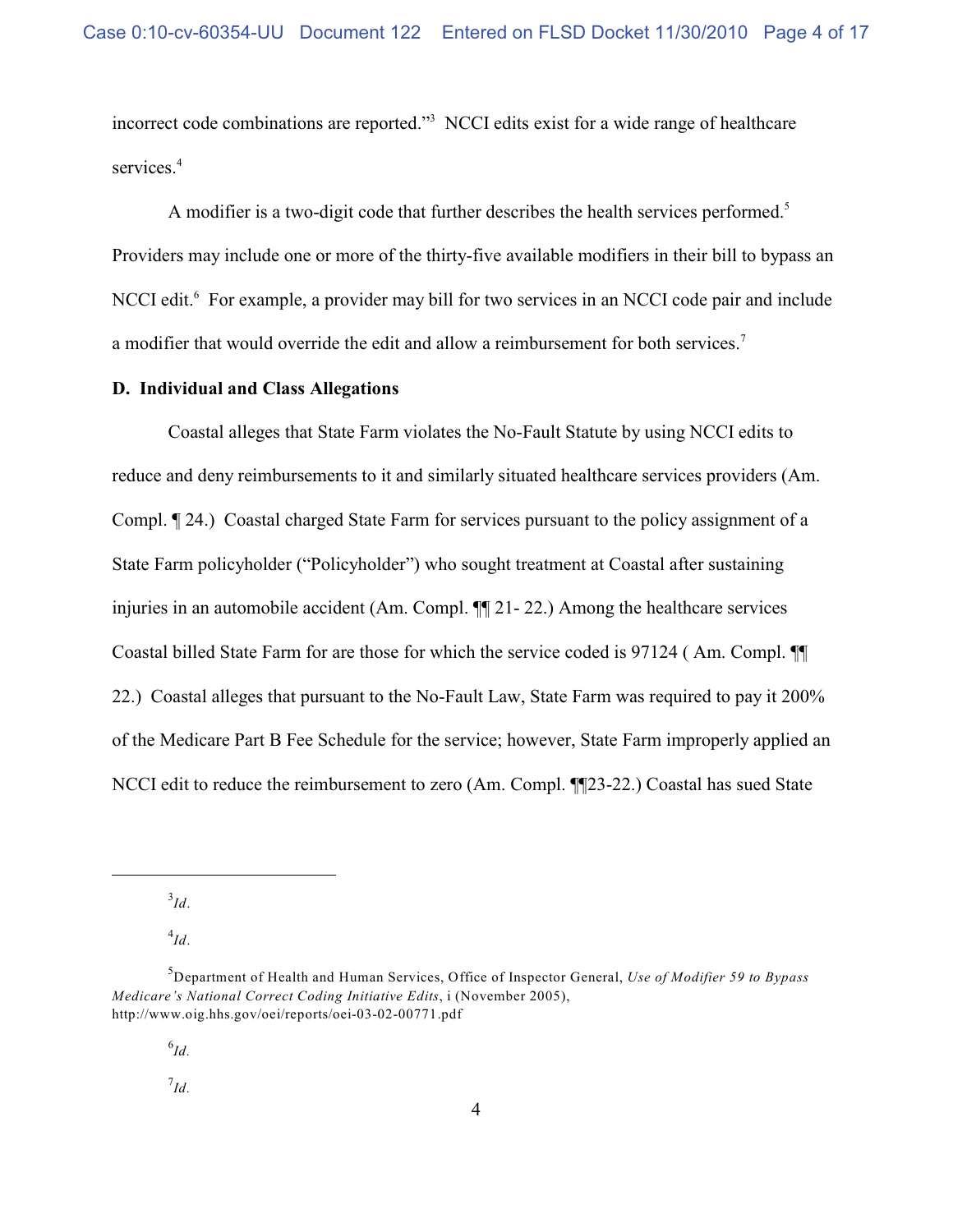incorrect code combinations are reported."<sup>3</sup> NCCI edits exist for a wide range of healthcare services.<sup>4</sup>

A modifier is a two-digit code that further describes the health services performed.<sup>5</sup> Providers may include one or more of the thirty-five available modifiers in their bill to bypass an NCCI edit.<sup>6</sup> For example, a provider may bill for two services in an NCCI code pair and include a modifier that would override the edit and allow a reimbursement for both services.<sup>7</sup>

# **D. Individual and Class Allegations**

Coastal alleges that State Farm violates the No-Fault Statute by using NCCI edits to reduce and deny reimbursements to it and similarly situated healthcare services providers (Am. Compl. ¶ 24.) Coastal charged State Farm for services pursuant to the policy assignment of a State Farm policyholder ("Policyholder") who sought treatment at Coastal after sustaining injuries in an automobile accident (Am. Compl. ¶¶ 21- 22.) Among the healthcare services Coastal billed State Farm for are those for which the service coded is 97124 ( Am. Compl. ¶¶ 22.) Coastal alleges that pursuant to the No-Fault Law, State Farm was required to pay it 200% of the Medicare Part B Fee Schedule for the service; however, State Farm improperly applied an NCCI edit to reduce the reimbursement to zero (Am. Compl. ¶¶23-22.) Coastal has sued State

 $\frac{3}{Id}$ .

 $^{4}Id.$ 

 $^{6}$ *Id.* 

 $^7$ *Id.* 

Department of Health and Human Services, Office of Inspector General, *Use of Modifier 59 to Bypass* <sup>5</sup> *Medicare's National Correct Coding Initiative Edits*, i (November 2005), http://www.oig.hhs.gov/oei/reports/oei-03-02-00771.pdf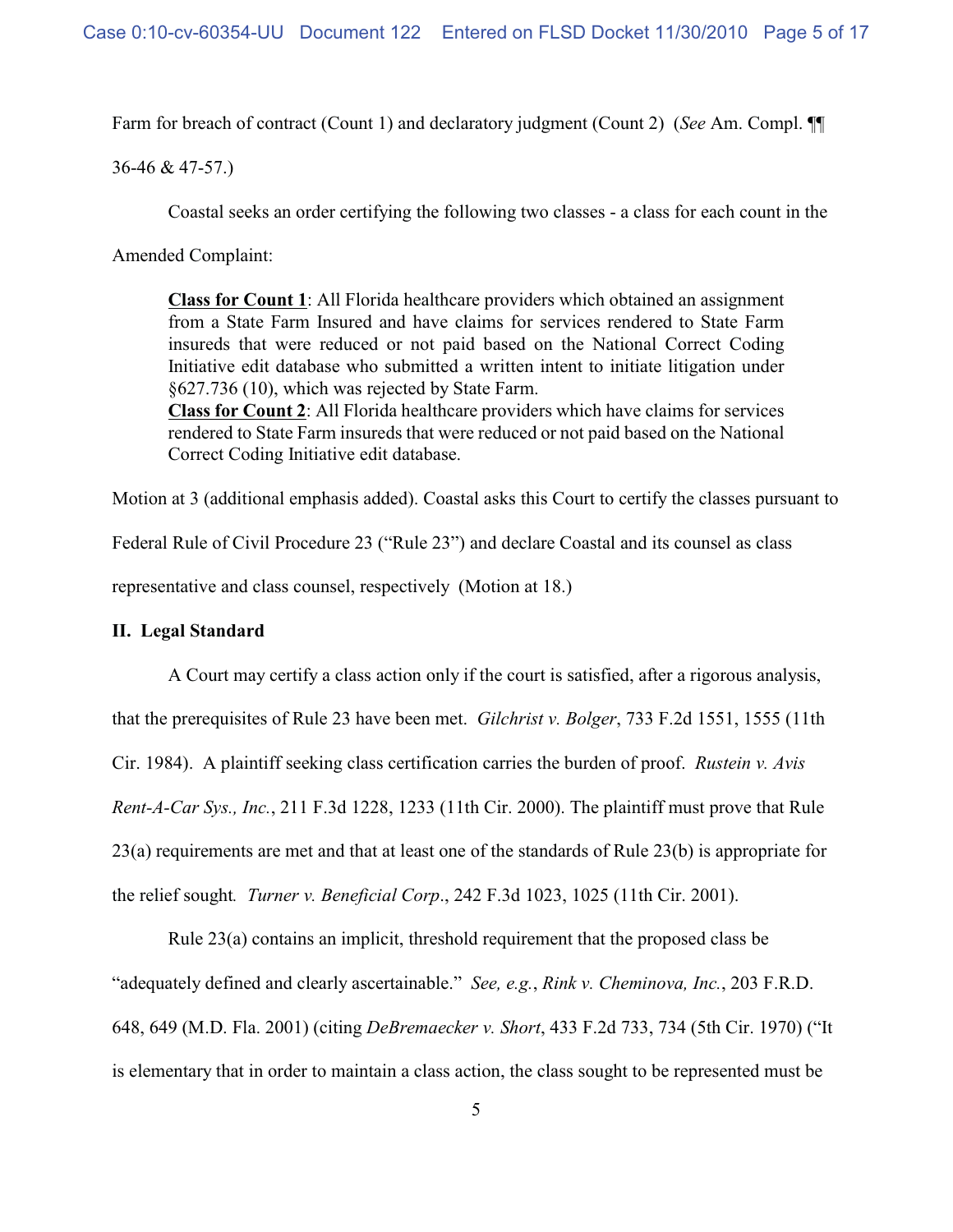Farm for breach of contract (Count 1) and declaratory judgment (Count 2) (*See* Am. Compl. ¶¶

36-46 & 47-57.)

Coastal seeks an order certifying the following two classes - a class for each count in the

Amended Complaint:

**Class for Count 1**: All Florida healthcare providers which obtained an assignment from a State Farm Insured and have claims for services rendered to State Farm insureds that were reduced or not paid based on the National Correct Coding Initiative edit database who submitted a written intent to initiate litigation under §627.736 (10), which was rejected by State Farm. **Class for Count 2**: All Florida healthcare providers which have claims for services rendered to State Farm insureds that were reduced or not paid based on the National

Correct Coding Initiative edit database.

Motion at 3 (additional emphasis added). Coastal asks this Court to certify the classes pursuant to

Federal Rule of Civil Procedure 23 ("Rule 23") and declare Coastal and its counsel as class

representative and class counsel, respectively (Motion at 18.)

## **II. Legal Standard**

A Court may certify a class action only if the court is satisfied, after a rigorous analysis, that the prerequisites of Rule 23 have been met. *Gilchrist v. Bolger*, 733 F.2d 1551, 1555 (11th Cir. 1984). A plaintiff seeking class certification carries the burden of proof. *Rustein v. Avis Rent-A-Car Sys., Inc.*, 211 F.3d 1228, 1233 (11th Cir. 2000). The plaintiff must prove that Rule 23(a) requirements are met and that at least one of the standards of Rule 23(b) is appropriate for the relief sought*. Turner v. Beneficial Corp*., 242 F.3d 1023, 1025 (11th Cir. 2001).

Rule 23(a) contains an implicit, threshold requirement that the proposed class be "adequately defined and clearly ascertainable." *See, e.g.*, *Rink v. Cheminova, Inc.*, 203 F.R.D. 648, 649 (M.D. Fla. 2001) (citing *DeBremaecker v. Short*, 433 F.2d 733, 734 (5th Cir. 1970) ("It is elementary that in order to maintain a class action, the class sought to be represented must be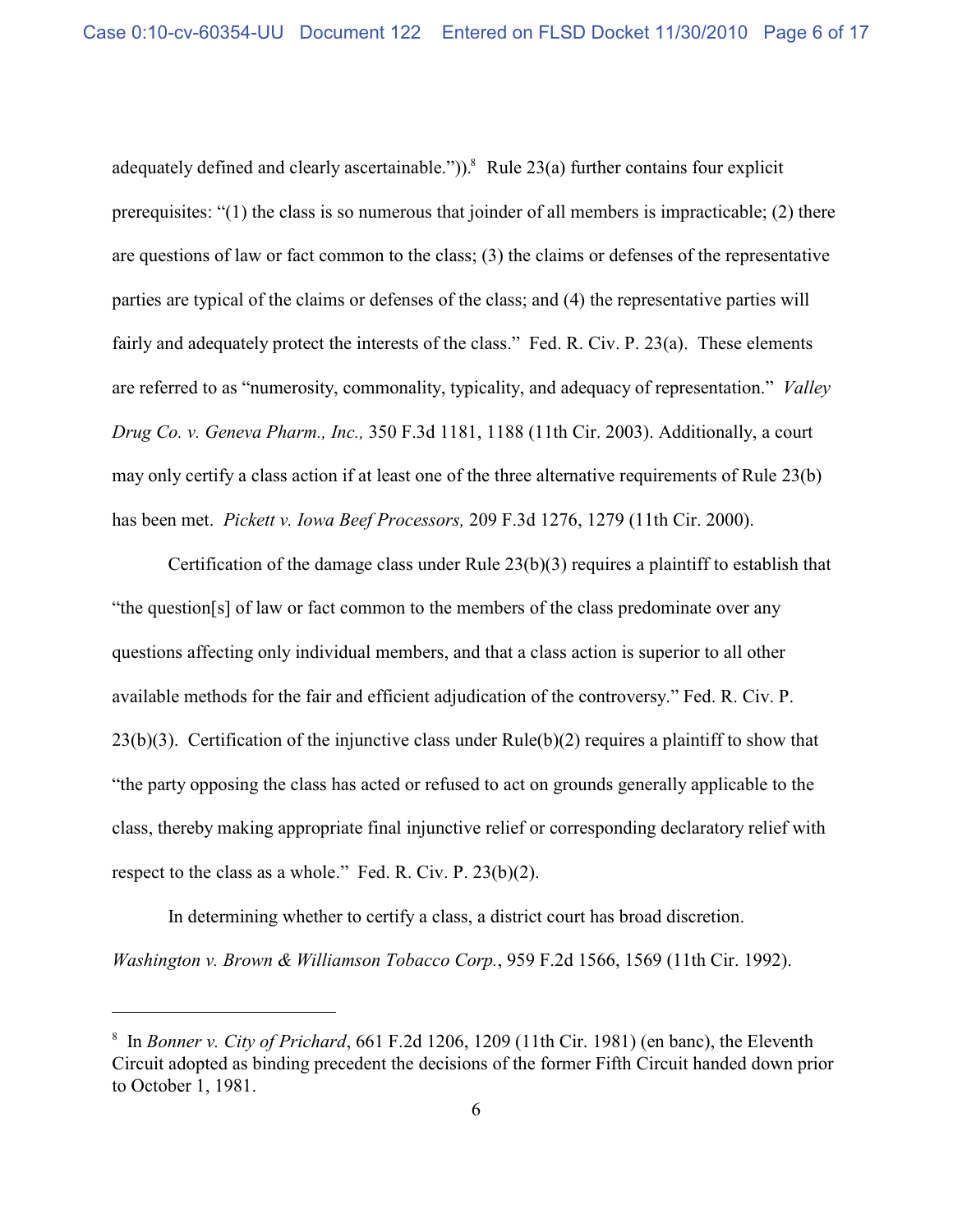adequately defined and clearly ascertainable.")).<sup>8</sup> Rule 23(a) further contains four explicit prerequisites: "(1) the class is so numerous that joinder of all members is impracticable; (2) there are questions of law or fact common to the class; (3) the claims or defenses of the representative parties are typical of the claims or defenses of the class; and (4) the representative parties will fairly and adequately protect the interests of the class." Fed. R. Civ. P. 23(a). These elements are referred to as "numerosity, commonality, typicality, and adequacy of representation." *Valley Drug Co. v. Geneva Pharm., Inc.,* 350 F.3d 1181, 1188 (11th Cir. 2003). Additionally, a court may only certify a class action if at least one of the three alternative requirements of Rule 23(b) has been met. *Pickett v. Iowa Beef Processors,* 209 F.3d 1276, 1279 (11th Cir. 2000).

Certification of the damage class under Rule 23(b)(3) requires a plaintiff to establish that "the question[s] of law or fact common to the members of the class predominate over any questions affecting only individual members, and that a class action is superior to all other available methods for the fair and efficient adjudication of the controversy." Fed. R. Civ. P. 23(b)(3). Certification of the injunctive class under Rule(b)(2) requires a plaintiff to show that "the party opposing the class has acted or refused to act on grounds generally applicable to the class, thereby making appropriate final injunctive relief or corresponding declaratory relief with respect to the class as a whole." Fed. R. Civ. P. 23(b)(2).

In determining whether to certify a class, a district court has broad discretion. *Washington v. Brown & Williamson Tobacco Corp.*, 959 F.2d 1566, 1569 (11th Cir. 1992).

<sup>&</sup>lt;sup>8</sup> In *Bonner v. City of Prichard*, 661 F.2d 1206, 1209 (11th Cir. 1981) (en banc), the Eleventh Circuit adopted as binding precedent the decisions of the former Fifth Circuit handed down prior to October 1, 1981.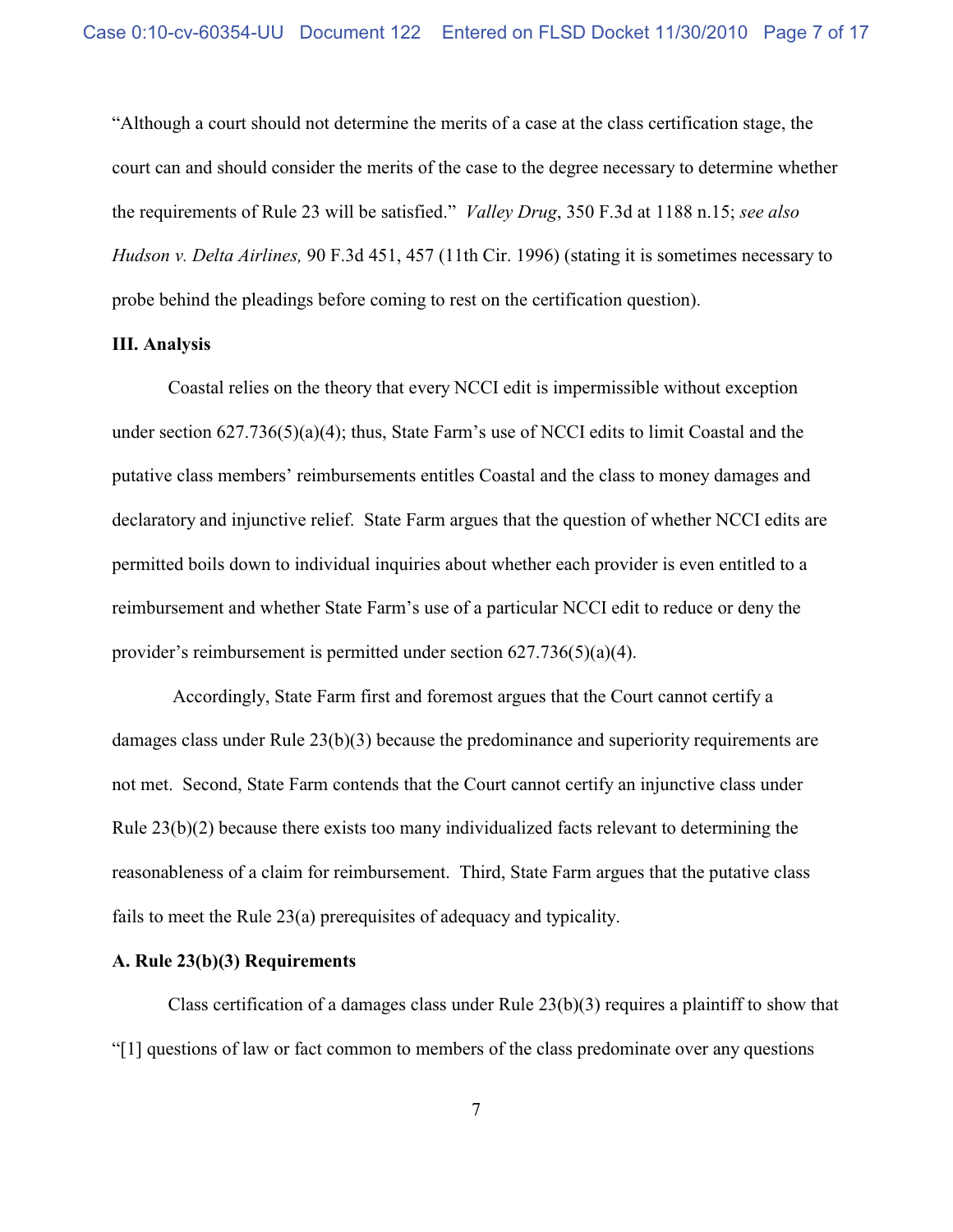"Although a court should not determine the merits of a case at the class certification stage, the court can and should consider the merits of the case to the degree necessary to determine whether the requirements of Rule 23 will be satisfied." *Valley Drug*, 350 F.3d at 1188 n.15; *see also Hudson v. Delta Airlines,* 90 F.3d 451, 457 (11th Cir. 1996) (stating it is sometimes necessary to probe behind the pleadings before coming to rest on the certification question).

#### **III. Analysis**

Coastal relies on the theory that every NCCI edit is impermissible without exception under section 627.736(5)(a)(4); thus, State Farm's use of NCCI edits to limit Coastal and the putative class members' reimbursements entitles Coastal and the class to money damages and declaratory and injunctive relief. State Farm argues that the question of whether NCCI edits are permitted boils down to individual inquiries about whether each provider is even entitled to a reimbursement and whether State Farm's use of a particular NCCI edit to reduce or deny the provider's reimbursement is permitted under section 627.736(5)(a)(4).

 Accordingly, State Farm first and foremost argues that the Court cannot certify a damages class under Rule 23(b)(3) because the predominance and superiority requirements are not met. Second, State Farm contends that the Court cannot certify an injunctive class under Rule 23(b)(2) because there exists too many individualized facts relevant to determining the reasonableness of a claim for reimbursement. Third, State Farm argues that the putative class fails to meet the Rule 23(a) prerequisites of adequacy and typicality.

# **A. Rule 23(b)(3) Requirements**

Class certification of a damages class under Rule 23(b)(3) requires a plaintiff to show that "[1] questions of law or fact common to members of the class predominate over any questions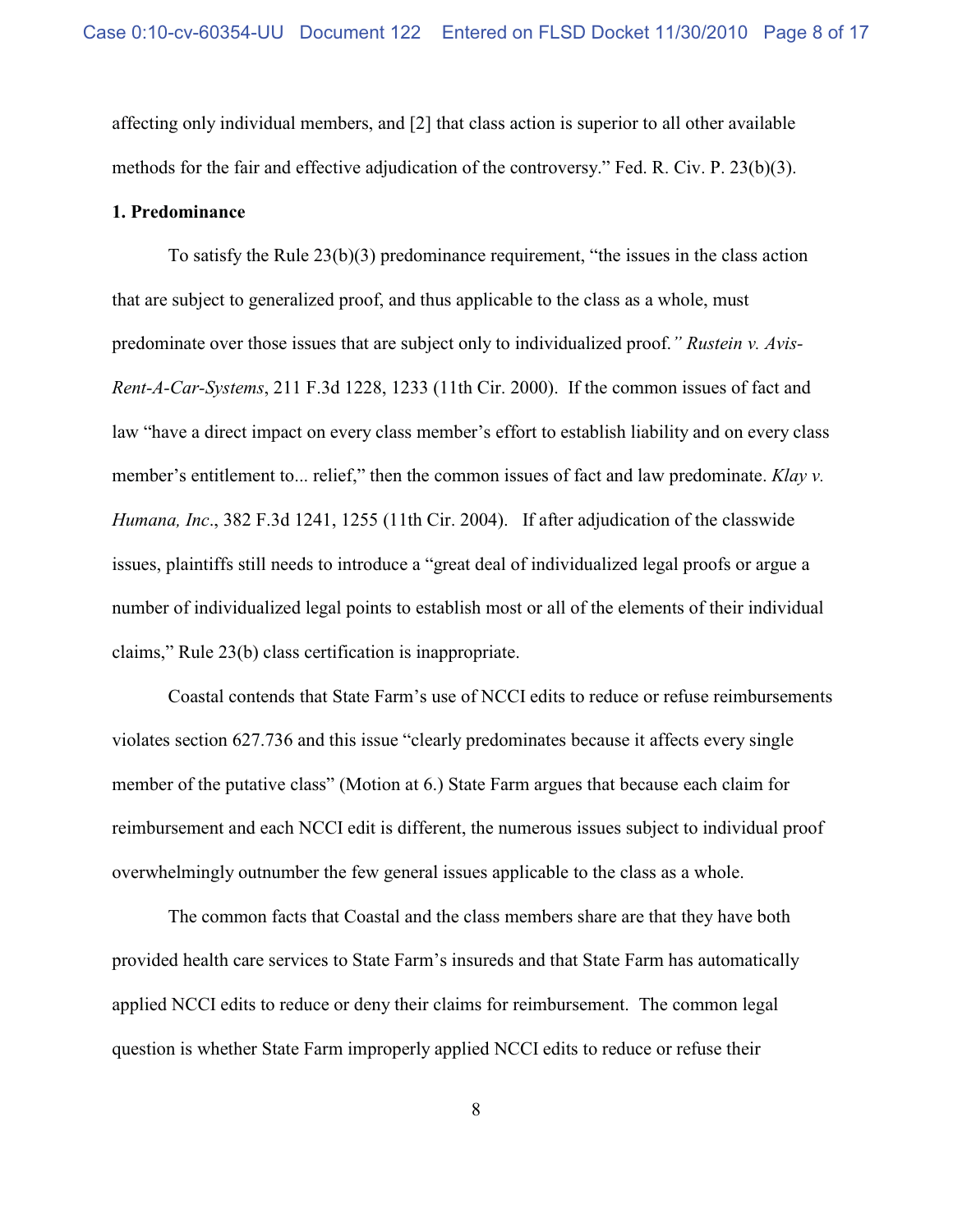affecting only individual members, and [2] that class action is superior to all other available methods for the fair and effective adjudication of the controversy." Fed. R. Civ. P. 23(b)(3).

#### **1. Predominance**

To satisfy the Rule 23(b)(3) predominance requirement, "the issues in the class action that are subject to generalized proof, and thus applicable to the class as a whole, must predominate over those issues that are subject only to individualized proof.*" Rustein v. Avis-Rent-A-Car-Systems*, 211 F.3d 1228, 1233 (11th Cir. 2000). If the common issues of fact and law "have a direct impact on every class member's effort to establish liability and on every class member's entitlement to... relief," then the common issues of fact and law predominate. *Klay v*. *Humana, Inc*., 382 F.3d 1241, 1255 (11th Cir. 2004). If after adjudication of the classwide issues, plaintiffs still needs to introduce a "great deal of individualized legal proofs or argue a number of individualized legal points to establish most or all of the elements of their individual claims," Rule 23(b) class certification is inappropriate.

Coastal contends that State Farm's use of NCCI edits to reduce or refuse reimbursements violates section 627.736 and this issue "clearly predominates because it affects every single member of the putative class" (Motion at 6.) State Farm argues that because each claim for reimbursement and each NCCI edit is different, the numerous issues subject to individual proof overwhelmingly outnumber the few general issues applicable to the class as a whole.

The common facts that Coastal and the class members share are that they have both provided health care services to State Farm's insureds and that State Farm has automatically applied NCCI edits to reduce or deny their claims for reimbursement. The common legal question is whether State Farm improperly applied NCCI edits to reduce or refuse their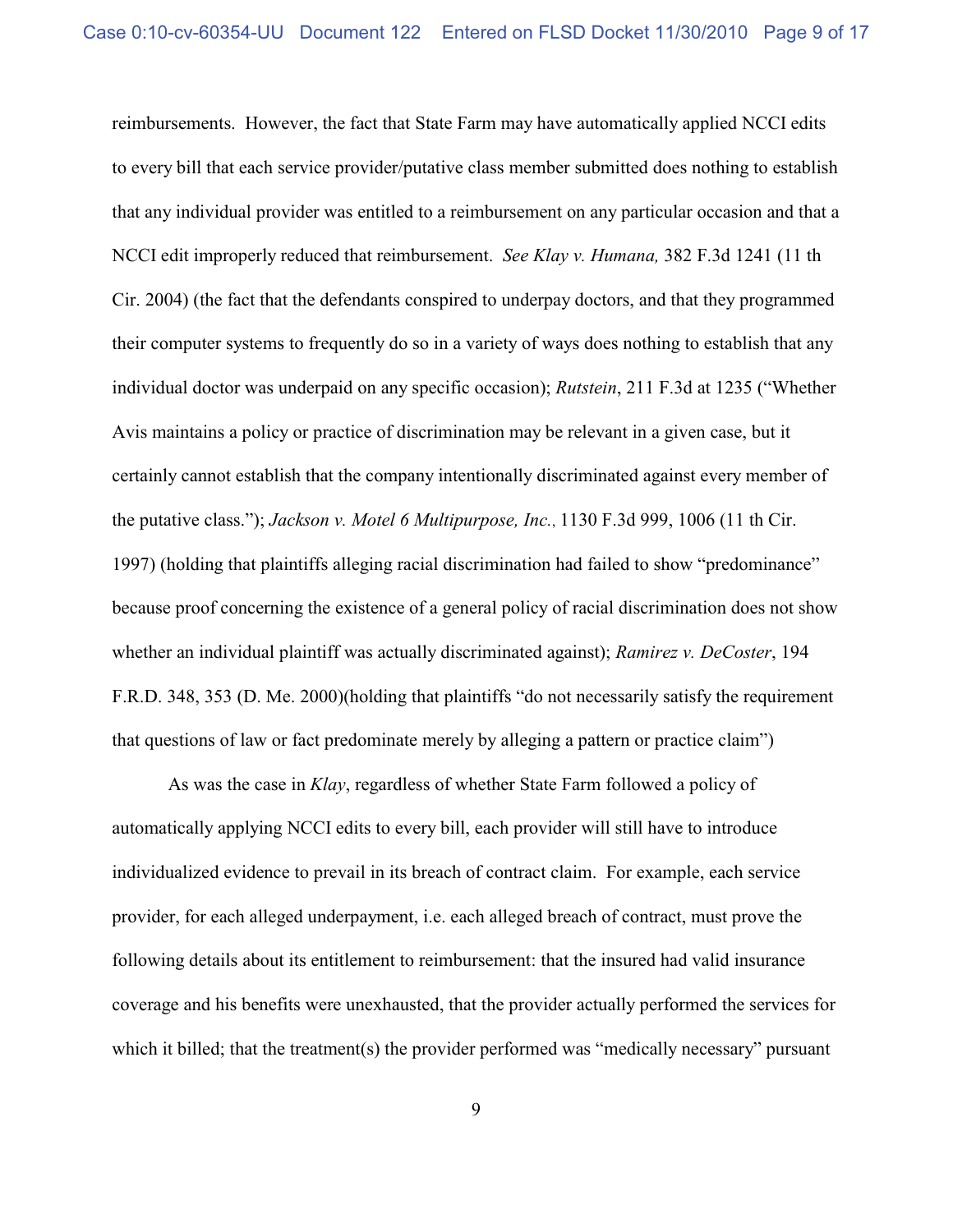reimbursements. However, the fact that State Farm may have automatically applied NCCI edits to every bill that each service provider/putative class member submitted does nothing to establish that any individual provider was entitled to a reimbursement on any particular occasion and that a NCCI edit improperly reduced that reimbursement. *See Klay v. Humana,* 382 F.3d 1241 (11 th Cir. 2004) (the fact that the defendants conspired to underpay doctors, and that they programmed their computer systems to frequently do so in a variety of ways does nothing to establish that any individual doctor was underpaid on any specific occasion); *Rutstein*, 211 F.3d at 1235 ("Whether Avis maintains a policy or practice of discrimination may be relevant in a given case, but it certainly cannot establish that the company intentionally discriminated against every member of the putative class."); *Jackson v. Motel 6 Multipurpose, Inc.*, 1130 F.3d 999, 1006 (11 th Cir. 1997) (holding that plaintiffs alleging racial discrimination had failed to show "predominance" because proof concerning the existence of a general policy of racial discrimination does not show whether an individual plaintiff was actually discriminated against); *Ramirez v. DeCoster*, 194 F.R.D. 348, 353 (D. Me. 2000)(holding that plaintiffs "do not necessarily satisfy the requirement that questions of law or fact predominate merely by alleging a pattern or practice claim")

As was the case in *Klay*, regardless of whether State Farm followed a policy of automatically applying NCCI edits to every bill, each provider will still have to introduce individualized evidence to prevail in its breach of contract claim. For example, each service provider, for each alleged underpayment, i.e. each alleged breach of contract, must prove the following details about its entitlement to reimbursement: that the insured had valid insurance coverage and his benefits were unexhausted, that the provider actually performed the services for which it billed; that the treatment(s) the provider performed was "medically necessary" pursuant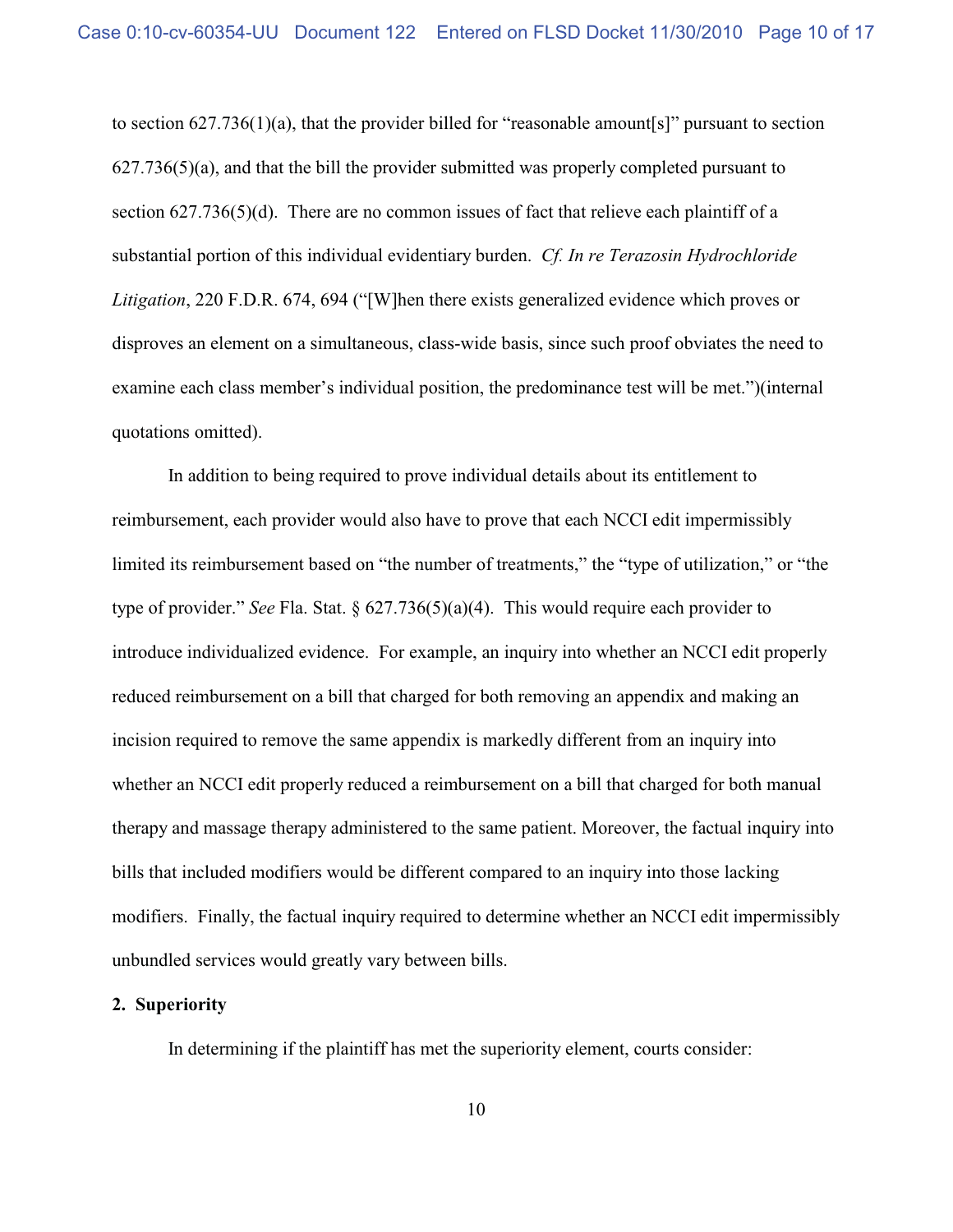to section 627.736(1)(a), that the provider billed for "reasonable amount[s]" pursuant to section  $627.736(5)$ (a), and that the bill the provider submitted was properly completed pursuant to section  $627.736(5)(d)$ . There are no common issues of fact that relieve each plaintiff of a substantial portion of this individual evidentiary burden. *Cf. In re Terazosin Hydrochloride Litigation*, 220 F.D.R. 674, 694 ("[W]hen there exists generalized evidence which proves or disproves an element on a simultaneous, class-wide basis, since such proof obviates the need to examine each class member's individual position, the predominance test will be met.")(internal quotations omitted).

In addition to being required to prove individual details about its entitlement to reimbursement, each provider would also have to prove that each NCCI edit impermissibly limited its reimbursement based on "the number of treatments," the "type of utilization," or "the type of provider." *See* Fla. Stat. § 627.736(5)(a)(4). This would require each provider to introduce individualized evidence. For example, an inquiry into whether an NCCI edit properly reduced reimbursement on a bill that charged for both removing an appendix and making an incision required to remove the same appendix is markedly different from an inquiry into whether an NCCI edit properly reduced a reimbursement on a bill that charged for both manual therapy and massage therapy administered to the same patient. Moreover, the factual inquiry into bills that included modifiers would be different compared to an inquiry into those lacking modifiers. Finally, the factual inquiry required to determine whether an NCCI edit impermissibly unbundled services would greatly vary between bills.

#### **2. Superiority**

In determining if the plaintiff has met the superiority element, courts consider: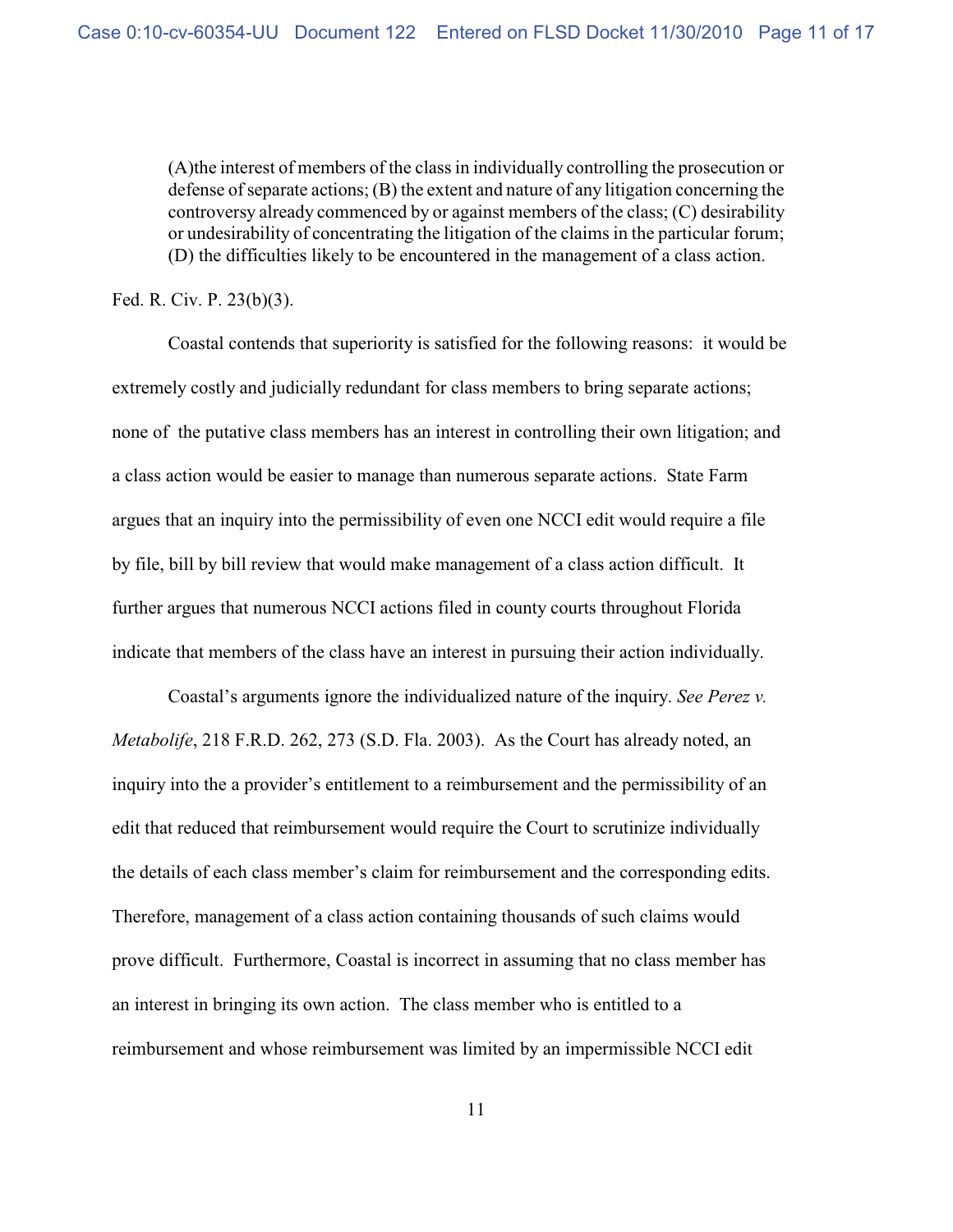(A)the interest of members of the class in individually controlling the prosecution or defense of separate actions; (B) the extent and nature of any litigation concerning the controversy already commenced by or against members of the class; (C) desirability or undesirability of concentrating the litigation of the claims in the particular forum; (D) the difficulties likely to be encountered in the management of a class action.

Fed. R. Civ. P. 23(b)(3).

Coastal contends that superiority is satisfied for the following reasons: it would be extremely costly and judicially redundant for class members to bring separate actions; none of the putative class members has an interest in controlling their own litigation; and a class action would be easier to manage than numerous separate actions. State Farm argues that an inquiry into the permissibility of even one NCCI edit would require a file by file, bill by bill review that would make management of a class action difficult. It further argues that numerous NCCI actions filed in county courts throughout Florida indicate that members of the class have an interest in pursuing their action individually.

Coastal's arguments ignore the individualized nature of the inquiry. *See Perez v. Metabolife*, 218 F.R.D. 262, 273 (S.D. Fla. 2003). As the Court has already noted, an inquiry into the a provider's entitlement to a reimbursement and the permissibility of an edit that reduced that reimbursement would require the Court to scrutinize individually the details of each class member's claim for reimbursement and the corresponding edits. Therefore, management of a class action containing thousands of such claims would prove difficult. Furthermore, Coastal is incorrect in assuming that no class member has an interest in bringing its own action. The class member who is entitled to a reimbursement and whose reimbursement was limited by an impermissible NCCI edit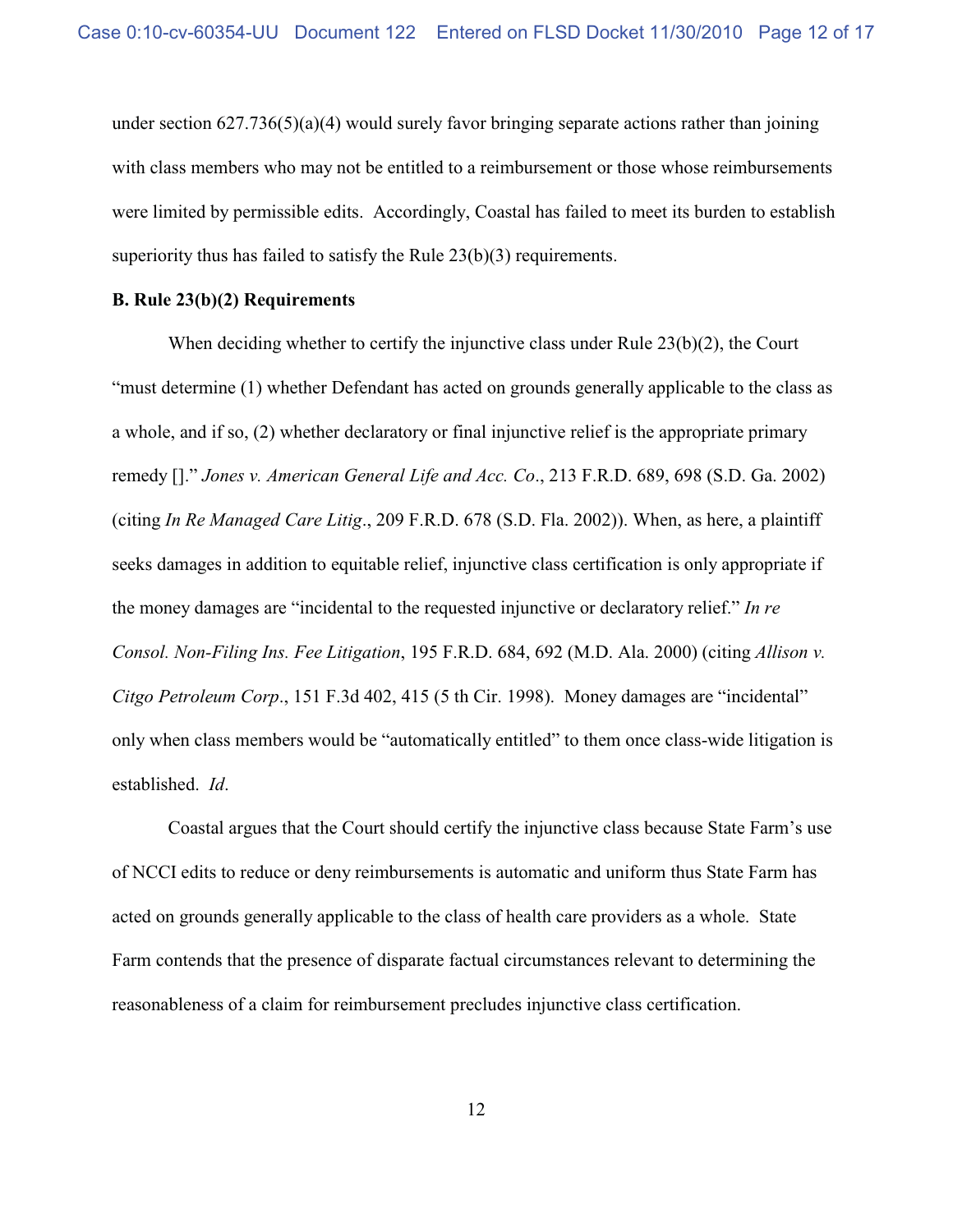under section  $627.736(5)(a)(4)$  would surely favor bringing separate actions rather than joining with class members who may not be entitled to a reimbursement or those whose reimbursements were limited by permissible edits. Accordingly, Coastal has failed to meet its burden to establish superiority thus has failed to satisfy the Rule 23(b)(3) requirements.

## **B. Rule 23(b)(2) Requirements**

When deciding whether to certify the injunctive class under Rule 23(b)(2), the Court "must determine (1) whether Defendant has acted on grounds generally applicable to the class as a whole, and if so, (2) whether declaratory or final injunctive relief is the appropriate primary remedy []." *Jones v. American General Life and Acc. Co*., 213 F.R.D. 689, 698 (S.D. Ga. 2002) (citing *In Re Managed Care Litig*., 209 F.R.D. 678 (S.D. Fla. 2002)). When, as here, a plaintiff seeks damages in addition to equitable relief, injunctive class certification is only appropriate if the money damages are "incidental to the requested injunctive or declaratory relief." *In re Consol. Non-Filing Ins. Fee Litigation*, 195 F.R.D. 684, 692 (M.D. Ala. 2000) (citing *Allison v. Citgo Petroleum Corp*., 151 F.3d 402, 415 (5 th Cir. 1998). Money damages are "incidental" only when class members would be "automatically entitled" to them once class-wide litigation is established. *Id*.

Coastal argues that the Court should certify the injunctive class because State Farm's use of NCCI edits to reduce or deny reimbursements is automatic and uniform thus State Farm has acted on grounds generally applicable to the class of health care providers as a whole. State Farm contends that the presence of disparate factual circumstances relevant to determining the reasonableness of a claim for reimbursement precludes injunctive class certification.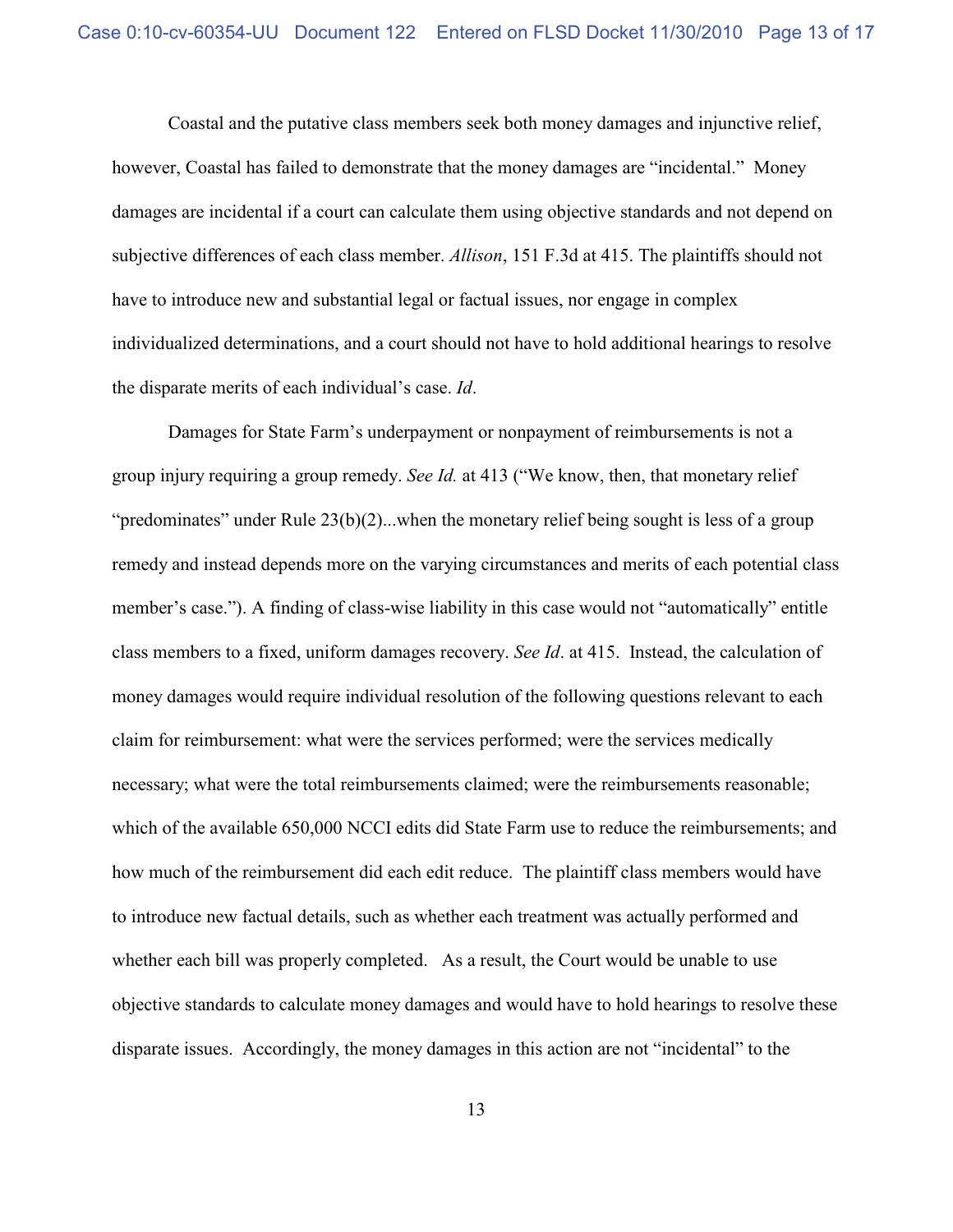Coastal and the putative class members seek both money damages and injunctive relief, however, Coastal has failed to demonstrate that the money damages are "incidental." Money damages are incidental if a court can calculate them using objective standards and not depend on subjective differences of each class member. *Allison*, 151 F.3d at 415. The plaintiffs should not have to introduce new and substantial legal or factual issues, nor engage in complex individualized determinations, and a court should not have to hold additional hearings to resolve the disparate merits of each individual's case. *Id*.

Damages for State Farm's underpayment or nonpayment of reimbursements is not a group injury requiring a group remedy. *See Id.* at 413 ("We know, then, that monetary relief "predominates" under Rule  $23(b)(2)$ ...when the monetary relief being sought is less of a group remedy and instead depends more on the varying circumstances and merits of each potential class member's case."). A finding of class-wise liability in this case would not "automatically" entitle class members to a fixed, uniform damages recovery. *See Id*. at 415. Instead, the calculation of money damages would require individual resolution of the following questions relevant to each claim for reimbursement: what were the services performed; were the services medically necessary; what were the total reimbursements claimed; were the reimbursements reasonable; which of the available 650,000 NCCI edits did State Farm use to reduce the reimbursements; and how much of the reimbursement did each edit reduce. The plaintiff class members would have to introduce new factual details, such as whether each treatment was actually performed and whether each bill was properly completed. As a result, the Court would be unable to use objective standards to calculate money damages and would have to hold hearings to resolve these disparate issues. Accordingly, the money damages in this action are not "incidental" to the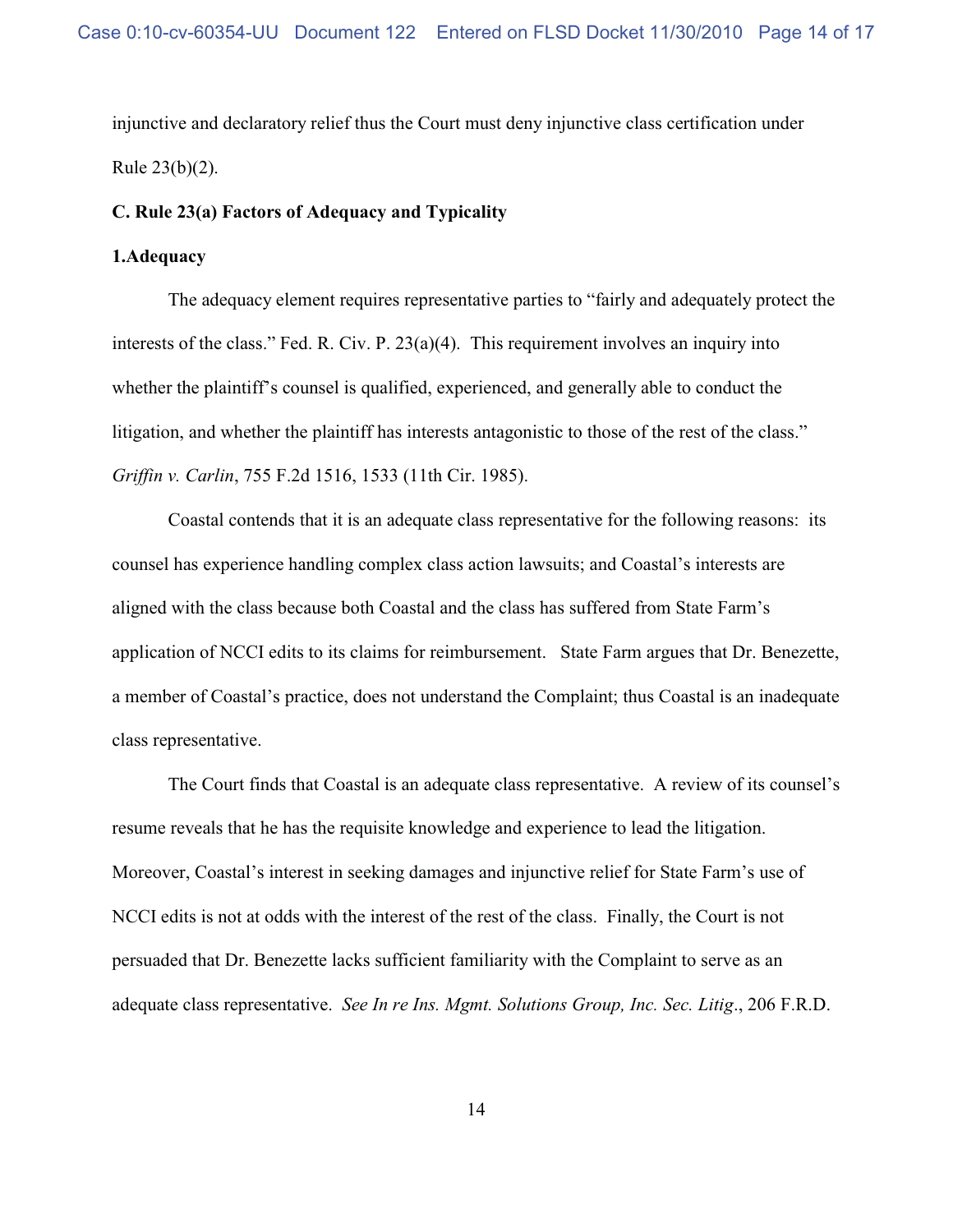injunctive and declaratory relief thus the Court must deny injunctive class certification under Rule 23(b)(2).

### **C. Rule 23(a) Factors of Adequacy and Typicality**

# **1.Adequacy**

The adequacy element requires representative parties to "fairly and adequately protect the interests of the class." Fed. R. Civ. P. 23(a)(4). This requirement involves an inquiry into whether the plaintiff's counsel is qualified, experienced, and generally able to conduct the litigation, and whether the plaintiff has interests antagonistic to those of the rest of the class." *Griffin v. Carlin*, 755 F.2d 1516, 1533 (11th Cir. 1985).

Coastal contends that it is an adequate class representative for the following reasons: its counsel has experience handling complex class action lawsuits; and Coastal's interests are aligned with the class because both Coastal and the class has suffered from State Farm's application of NCCI edits to its claims for reimbursement. State Farm argues that Dr. Benezette, a member of Coastal's practice, does not understand the Complaint; thus Coastal is an inadequate class representative.

The Court finds that Coastal is an adequate class representative. A review of its counsel's resume reveals that he has the requisite knowledge and experience to lead the litigation. Moreover, Coastal's interest in seeking damages and injunctive relief for State Farm's use of NCCI edits is not at odds with the interest of the rest of the class. Finally, the Court is not persuaded that Dr. Benezette lacks sufficient familiarity with the Complaint to serve as an adequate class representative. *See In re Ins. Mgmt. Solutions Group, Inc. Sec. Litig*., 206 F.R.D.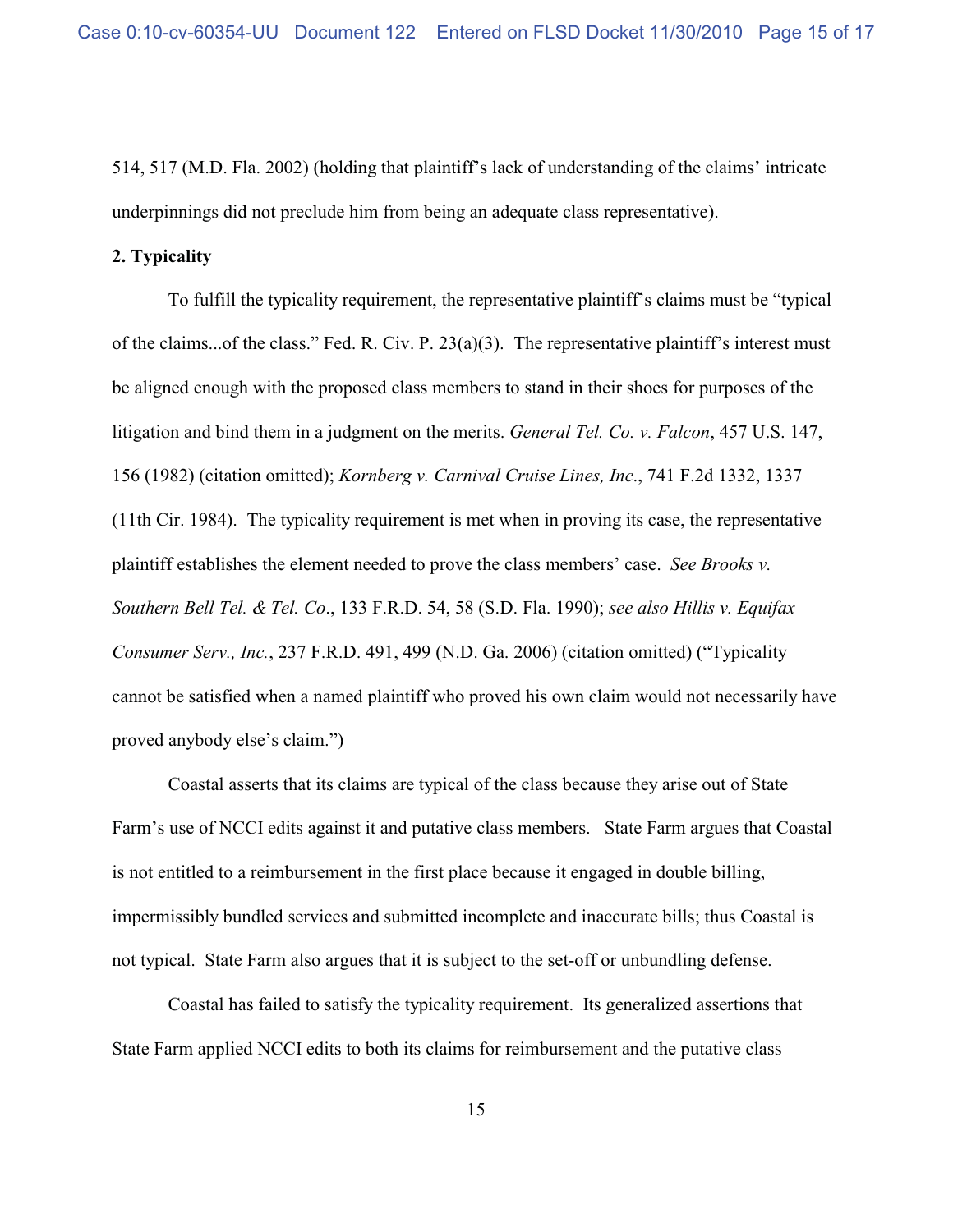514, 517 (M.D. Fla. 2002) (holding that plaintiff's lack of understanding of the claims' intricate underpinnings did not preclude him from being an adequate class representative).

### **2. Typicality**

To fulfill the typicality requirement, the representative plaintiff's claims must be "typical of the claims...of the class." Fed. R. Civ. P. 23(a)(3). The representative plaintiff's interest must be aligned enough with the proposed class members to stand in their shoes for purposes of the litigation and bind them in a judgment on the merits. *General Tel. Co. v. Falcon*, 457 U.S. 147, 156 (1982) (citation omitted); *Kornberg v. Carnival Cruise Lines, Inc*., 741 F.2d 1332, 1337 (11th Cir. 1984). The typicality requirement is met when in proving its case, the representative plaintiff establishes the element needed to prove the class members' case. *See Brooks v. Southern Bell Tel. & Tel. Co*., 133 F.R.D. 54, 58 (S.D. Fla. 1990); *see also Hillis v. Equifax Consumer Serv., Inc.*, 237 F.R.D. 491, 499 (N.D. Ga. 2006) (citation omitted) ("Typicality cannot be satisfied when a named plaintiff who proved his own claim would not necessarily have proved anybody else's claim.")

Coastal asserts that its claims are typical of the class because they arise out of State Farm's use of NCCI edits against it and putative class members. State Farm argues that Coastal is not entitled to a reimbursement in the first place because it engaged in double billing, impermissibly bundled services and submitted incomplete and inaccurate bills; thus Coastal is not typical. State Farm also argues that it is subject to the set-off or unbundling defense.

Coastal has failed to satisfy the typicality requirement. Its generalized assertions that State Farm applied NCCI edits to both its claims for reimbursement and the putative class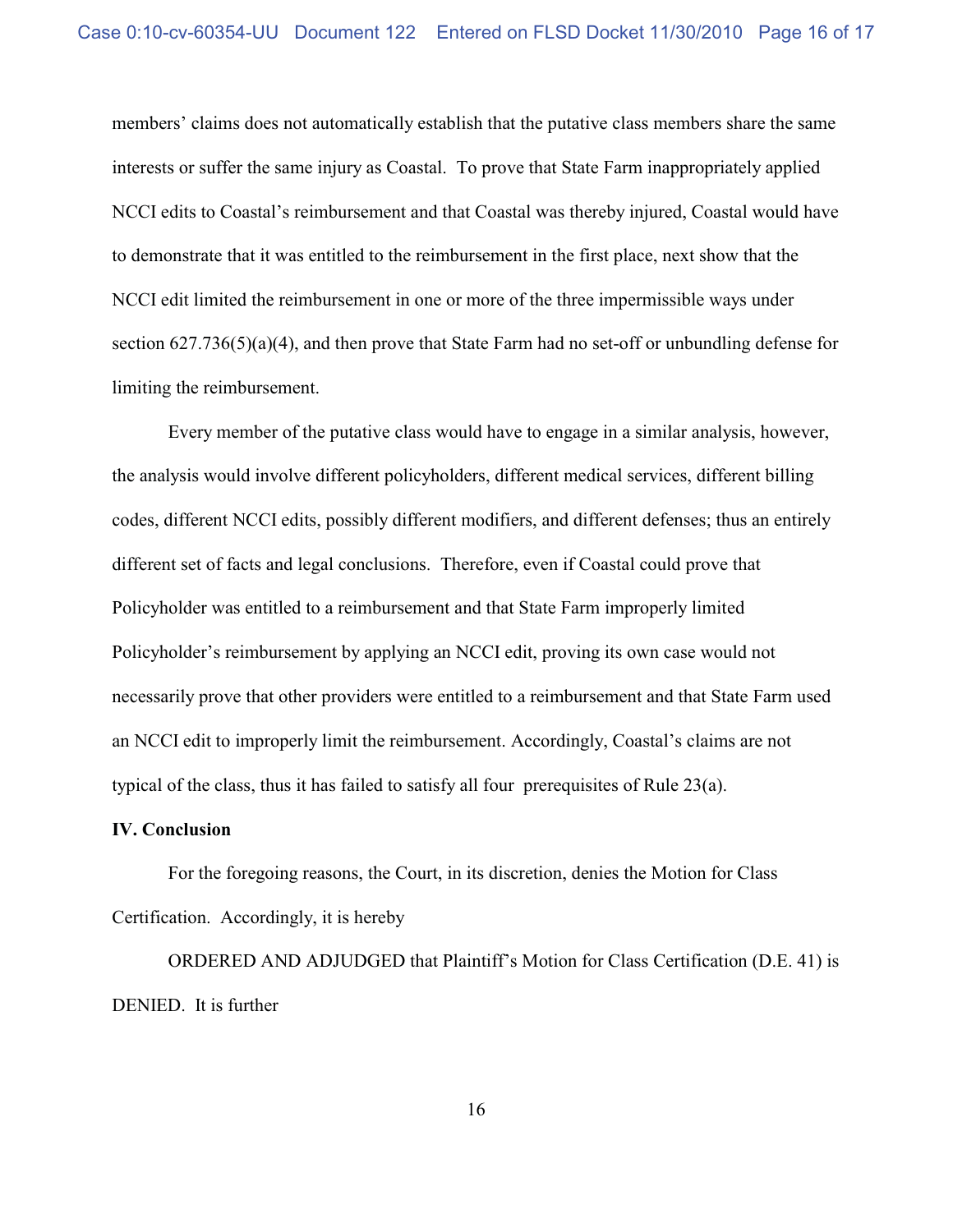members' claims does not automatically establish that the putative class members share the same interests or suffer the same injury as Coastal. To prove that State Farm inappropriately applied NCCI edits to Coastal's reimbursement and that Coastal was thereby injured, Coastal would have to demonstrate that it was entitled to the reimbursement in the first place, next show that the NCCI edit limited the reimbursement in one or more of the three impermissible ways under section 627.736(5)(a)(4), and then prove that State Farm had no set-off or unbundling defense for limiting the reimbursement.

Every member of the putative class would have to engage in a similar analysis, however, the analysis would involve different policyholders, different medical services, different billing codes, different NCCI edits, possibly different modifiers, and different defenses; thus an entirely different set of facts and legal conclusions. Therefore, even if Coastal could prove that Policyholder was entitled to a reimbursement and that State Farm improperly limited Policyholder's reimbursement by applying an NCCI edit, proving its own case would not necessarily prove that other providers were entitled to a reimbursement and that State Farm used an NCCI edit to improperly limit the reimbursement. Accordingly, Coastal's claims are not typical of the class, thus it has failed to satisfy all four prerequisites of Rule 23(a).

#### **IV. Conclusion**

For the foregoing reasons, the Court, in its discretion, denies the Motion for Class Certification. Accordingly, it is hereby

ORDERED AND ADJUDGED that Plaintiff's Motion for Class Certification (D.E. 41) is DENIED. It is further